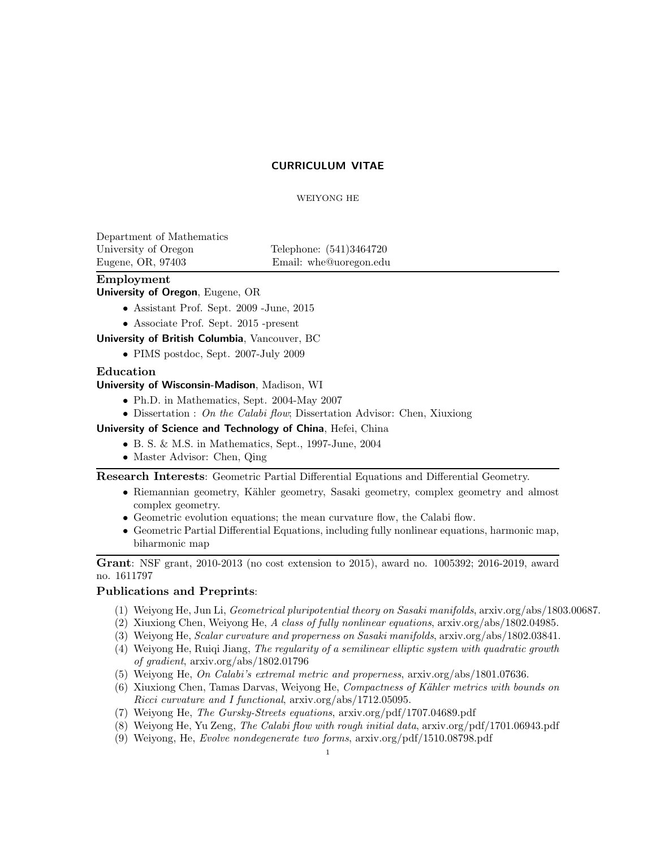# CURRICULUM VITAE

### WEIYONG HE

Department of Mathematics University of Oregon Telephone:  $(541)3464720$ Eugene, OR, 97403 Email: whe@uoregon.edu

# Employment

University of Oregon, Eugene, OR

- Assistant Prof. Sept. 2009 -June, 2015
- Associate Prof. Sept. 2015 -present

University of British Columbia, Vancouver, BC

• PIMS postdoc, Sept. 2007-July 2009

# Education

University of Wisconsin-Madison, Madison, WI

- Ph.D. in Mathematics, Sept. 2004-May 2007
- Dissertation : On the Calabi flow; Dissertation Advisor: Chen, Xiuxiong

University of Science and Technology of China, Hefei, China

- B. S. & M.S. in Mathematics, Sept., 1997-June, 2004
- Master Advisor: Chen, Qing

Research Interests: Geometric Partial Differential Equations and Differential Geometry.

- Riemannian geometry, Kähler geometry, Sasaki geometry, complex geometry and almost complex geometry.
- Geometric evolution equations; the mean curvature flow, the Calabi flow.
- Geometric Partial Differential Equations, including fully nonlinear equations, harmonic map, biharmonic map

Grant: NSF grant, 2010-2013 (no cost extension to 2015), award no. 1005392; 2016-2019, award no. 1611797

### Publications and Preprints:

- (1) Weiyong He, Jun Li, Geometrical pluripotential theory on Sasaki manifolds, arxiv.org/abs/1803.00687.
- (2) Xiuxiong Chen, Weiyong He, A class of fully nonlinear equations,  $\arxi/2$  abs/1802.04985.
- (3) Weiyong He, Scalar curvature and properness on Sasaki manifolds, arxiv.org/abs/1802.03841.
- (4) Weiyong He, Ruiqi Jiang, The regularity of a semilinear elliptic system with quadratic growth of gradient, arxiv.org/abs/1802.01796
- (5) Weiyong He, On Calabi's extremal metric and properness, arxiv.org/abs/1801.07636.
- $(6)$  Xiuxiong Chen, Tamas Darvas, Weiyong He, Compactness of Kähler metrics with bounds on Ricci curvature and I functional, arxiv.org/abs/1712.05095.
- (7) Weiyong He, The Gursky-Streets equations, arxiv.org/pdf/1707.04689.pdf
- (8) Weiyong He, Yu Zeng, The Calabi flow with rough initial data, arxiv.org/pdf/1701.06943.pdf
- (9) Weiyong, He, Evolve nondegenerate two forms, arxiv.org/pdf/1510.08798.pdf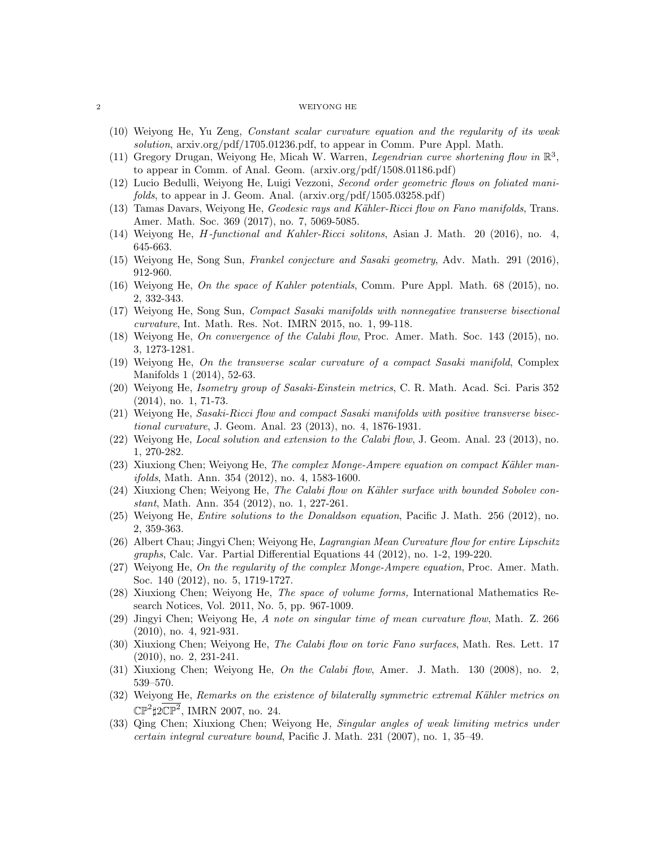#### 2 WEIYONG HE

- (10) Weiyong He, Yu Zeng, Constant scalar curvature equation and the regularity of its weak solution, arxiv.org/pdf/1705.01236.pdf, to appear in Comm. Pure Appl. Math.
- (11) Gregory Drugan, Weiyong He, Micah W. Warren, Legendrian curve shortening flow in  $\mathbb{R}^3$ , to appear in Comm. of Anal. Geom. (arxiv.org/pdf/1508.01186.pdf)
- (12) Lucio Bedulli, Weiyong He, Luigi Vezzoni, Second order geometric flows on foliated manifolds, to appear in J. Geom. Anal. (arxiv.org/pdf/1505.03258.pdf)
- (13) Tamas Davars, Weiyong He, *Geodesic rays and Kähler-Ricci flow on Fano manifolds*, Trans. Amer. Math. Soc. 369 (2017), no. 7, 5069-5085.
- (14) Weiyong He, H-functional and Kahler-Ricci solitons, Asian J. Math. 20 (2016), no. 4, 645-663.
- (15) Weiyong He, Song Sun, Frankel conjecture and Sasaki geometry, Adv. Math. 291 (2016), 912-960.
- (16) Weiyong He, On the space of Kahler potentials, Comm. Pure Appl. Math. 68 (2015), no. 2, 332-343.
- (17) Weiyong He, Song Sun, Compact Sasaki manifolds with nonnegative transverse bisectional curvature, Int. Math. Res. Not. IMRN 2015, no. 1, 99-118.
- (18) Weiyong He, On convergence of the Calabi flow, Proc. Amer. Math. Soc. 143 (2015), no. 3, 1273-1281.
- (19) Weiyong He, On the transverse scalar curvature of a compact Sasaki manifold, Complex Manifolds 1 (2014), 52-63.
- (20) Weiyong He, Isometry group of Sasaki-Einstein metrics, C. R. Math. Acad. Sci. Paris 352 (2014), no. 1, 71-73.
- (21) Weiyong He, Sasaki-Ricci flow and compact Sasaki manifolds with positive transverse bisectional curvature, J. Geom. Anal. 23 (2013), no. 4, 1876-1931.
- (22) Weiyong He, Local solution and extension to the Calabi flow, J. Geom. Anal. 23 (2013), no. 1, 270-282.
- (23) Xiuxiong Chen; Weiyong He, The complex Monge-Ampere equation on compact Kähler manifolds, Math. Ann. 354 (2012), no. 4, 1583-1600.
- (24) Xiuxiong Chen; Weiyong He, The Calabi flow on Kähler surface with bounded Sobolev constant, Math. Ann. 354 (2012), no. 1, 227-261.
- (25) Weiyong He, Entire solutions to the Donaldson equation, Pacific J. Math. 256 (2012), no. 2, 359-363.
- (26) Albert Chau; Jingyi Chen; Weiyong He, Lagrangian Mean Curvature flow for entire Lipschitz graphs, Calc. Var. Partial Differential Equations 44 (2012), no. 1-2, 199-220.
- (27) Weiyong He, On the regularity of the complex Monge-Ampere equation, Proc. Amer. Math. Soc. 140 (2012), no. 5, 1719-1727.
- (28) Xiuxiong Chen; Weiyong He, The space of volume forms, International Mathematics Research Notices, Vol. 2011, No. 5, pp. 967-1009.
- (29) Jingyi Chen; Weiyong He, A note on singular time of mean curvature flow, Math. Z. 266 (2010), no. 4, 921-931.
- (30) Xiuxiong Chen; Weiyong He, The Calabi flow on toric Fano surfaces, Math. Res. Lett. 17 (2010), no. 2, 231-241.
- (31) Xiuxiong Chen; Weiyong He, On the Calabi flow, Amer. J. Math. 130 (2008), no. 2, 539–570.
- $(32)$  Weiyong He, Remarks on the existence of bilaterally symmetric extremal Kähler metrics on  $\mathbb{CP}^2\sharp 2\overline{\mathbb{CP}^2}$ , IMRN 2007, no. 24.
- (33) Qing Chen; Xiuxiong Chen; Weiyong He, Singular angles of weak limiting metrics under certain integral curvature bound, Pacific J. Math. 231 (2007), no. 1, 35–49.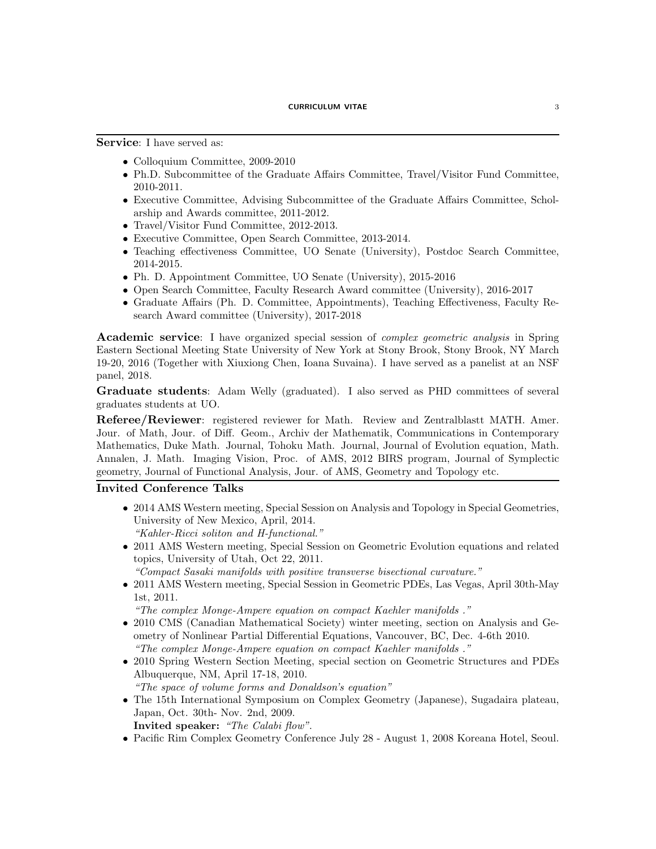Service: I have served as:

- Colloquium Committee, 2009-2010
- Ph.D. Subcommittee of the Graduate Affairs Committee, Travel/Visitor Fund Committee, 2010-2011.
- Executive Committee, Advising Subcommittee of the Graduate Affairs Committee, Scholarship and Awards committee, 2011-2012.
- Travel/Visitor Fund Committee, 2012-2013.
- Executive Committee, Open Search Committee, 2013-2014.
- Teaching effectiveness Committee, UO Senate (University), Postdoc Search Committee, 2014-2015.
- Ph. D. Appointment Committee, UO Senate (University), 2015-2016
- Open Search Committee, Faculty Research Award committee (University), 2016-2017
- Graduate Affairs (Ph. D. Committee, Appointments), Teaching Effectiveness, Faculty Research Award committee (University), 2017-2018

**Academic service:** I have organized special session of *complex geometric analysis* in Spring Eastern Sectional Meeting State University of New York at Stony Brook, Stony Brook, NY March 19-20, 2016 (Together with Xiuxiong Chen, Ioana Suvaina). I have served as a panelist at an NSF panel, 2018.

Graduate students: Adam Welly (graduated). I also served as PHD committees of several graduates students at UO.

Referee/Reviewer: registered reviewer for Math. Review and Zentralblastt MATH. Amer. Jour. of Math, Jour. of Diff. Geom., Archiv der Mathematik, Communications in Contemporary Mathematics, Duke Math. Journal, Tohoku Math. Journal, Journal of Evolution equation, Math. Annalen, J. Math. Imaging Vision, Proc. of AMS, 2012 BIRS program, Journal of Symplectic geometry, Journal of Functional Analysis, Jour. of AMS, Geometry and Topology etc.

# Invited Conference Talks

- 2014 AMS Western meeting, Special Session on Analysis and Topology in Special Geometries, University of New Mexico, April, 2014. "Kahler-Ricci soliton and H-functional."
- 2011 AMS Western meeting, Special Session on Geometric Evolution equations and related topics, University of Utah, Oct 22, 2011.

"Compact Sasaki manifolds with positive transverse bisectional curvature."

• 2011 AMS Western meeting, Special Session in Geometric PDEs, Las Vegas, April 30th-May 1st, 2011.

"The complex Monge-Ampere equation on compact Kaehler manifolds ."

- 2010 CMS (Canadian Mathematical Society) winter meeting, section on Analysis and Geometry of Nonlinear Partial Differential Equations, Vancouver, BC, Dec. 4-6th 2010. "The complex Monge-Ampere equation on compact Kaehler manifolds ."
- 2010 Spring Western Section Meeting, special section on Geometric Structures and PDEs Albuquerque, NM, April 17-18, 2010.

"The space of volume forms and Donaldson's equation"

• The 15th International Symposium on Complex Geometry (Japanese), Sugadaira plateau, Japan, Oct. 30th- Nov. 2nd, 2009.

Invited speaker: "The Calabi flow".

• Pacific Rim Complex Geometry Conference July 28 - August 1, 2008 Koreana Hotel, Seoul.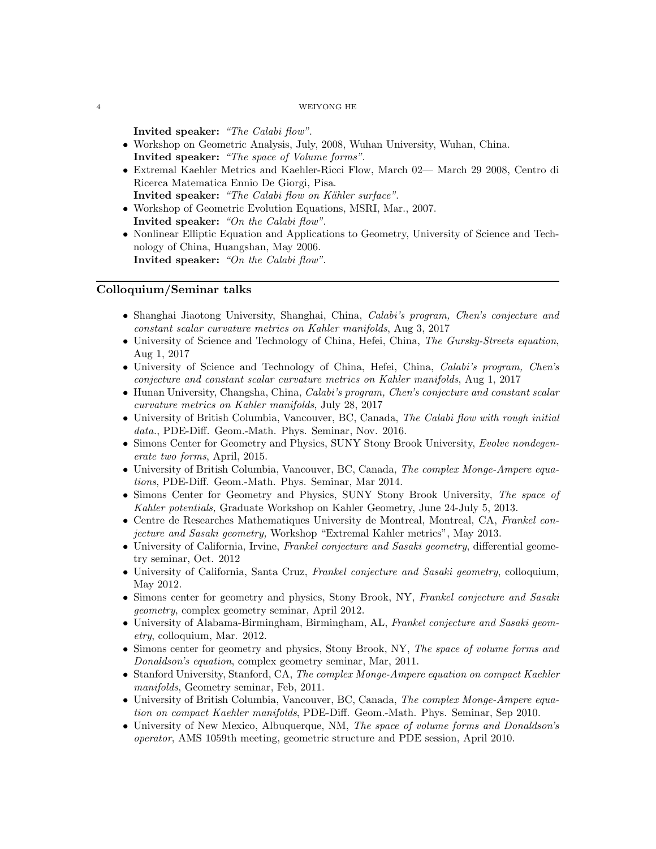#### 4 WEIYONG HE

Invited speaker: "The Calabi flow".

- Workshop on Geometric Analysis, July, 2008, Wuhan University, Wuhan, China. Invited speaker: "The space of Volume forms".
- Extremal Kaehler Metrics and Kaehler-Ricci Flow, March 02— March 29 2008, Centro di Ricerca Matematica Ennio De Giorgi, Pisa. Invited speaker: "The Calabi flow on Kähler surface".
- Workshop of Geometric Evolution Equations, MSRI, Mar., 2007. Invited speaker: "On the Calabi flow".
- Nonlinear Elliptic Equation and Applications to Geometry, University of Science and Technology of China, Huangshan, May 2006. Invited speaker: "On the Calabi flow".

# Colloquium/Seminar talks

- Shanghai Jiaotong University, Shanghai, China, Calabi's program, Chen's conjecture and constant scalar curvature metrics on Kahler manifolds, Aug 3, 2017
- University of Science and Technology of China, Hefei, China, The Gursky-Streets equation, Aug 1, 2017
- University of Science and Technology of China, Hefei, China, Calabi's program, Chen's conjecture and constant scalar curvature metrics on Kahler manifolds, Aug 1, 2017
- Hunan University, Changsha, China, Calabi's program, Chen's conjecture and constant scalar curvature metrics on Kahler manifolds, July 28, 2017
- University of British Columbia, Vancouver, BC, Canada, The Calabi flow with rough initial data., PDE-Diff. Geom.-Math. Phys. Seminar, Nov. 2016.
- Simons Center for Geometry and Physics, SUNY Stony Brook University, Evolve nondegenerate two forms, April, 2015.
- University of British Columbia, Vancouver, BC, Canada, The complex Monge-Ampere equations, PDE-Diff. Geom.-Math. Phys. Seminar, Mar 2014.
- Simons Center for Geometry and Physics, SUNY Stony Brook University, The space of Kahler potentials, Graduate Workshop on Kahler Geometry, June 24-July 5, 2013.
- Centre de Researches Mathematiques University de Montreal, Montreal, CA, Frankel conjecture and Sasaki geometry, Workshop "Extremal Kahler metrics", May 2013.
- University of California, Irvine, Frankel conjecture and Sasaki geometry, differential geometry seminar, Oct. 2012
- University of California, Santa Cruz, Frankel conjecture and Sasaki geometry, colloquium, May 2012.
- Simons center for geometry and physics, Stony Brook, NY, Frankel conjecture and Sasaki geometry, complex geometry seminar, April 2012.
- University of Alabama-Birmingham, Birmingham, AL, Frankel conjecture and Sasaki geometry, colloquium, Mar. 2012.
- Simons center for geometry and physics, Stony Brook, NY, The space of volume forms and Donaldson's equation, complex geometry seminar, Mar, 2011.
- Stanford University, Stanford, CA, The complex Monge-Ampere equation on compact Kaehler manifolds, Geometry seminar, Feb, 2011.
- University of British Columbia, Vancouver, BC, Canada, The complex Monge-Ampere equation on compact Kaehler manifolds, PDE-Diff. Geom.-Math. Phys. Seminar, Sep 2010.
- University of New Mexico, Albuquerque, NM, The space of volume forms and Donaldson's operator, AMS 1059th meeting, geometric structure and PDE session, April 2010.